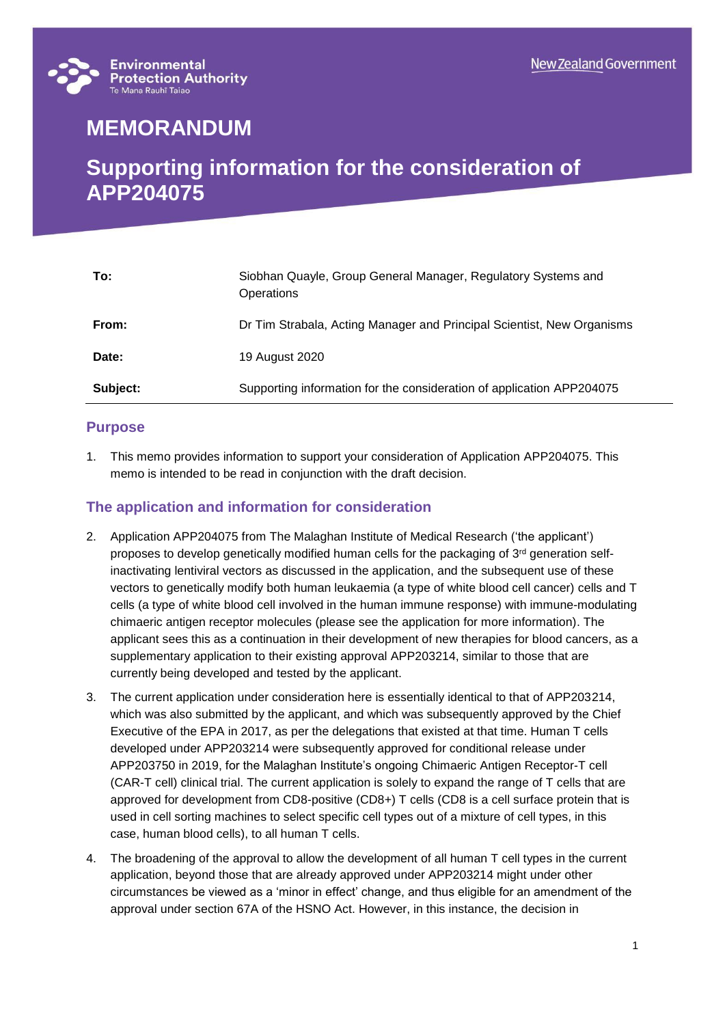

# **MEMORANDUM**

## **Supporting information for the consideration of APP204075**

| To:      | Siobhan Quayle, Group General Manager, Regulatory Systems and<br>Operations |
|----------|-----------------------------------------------------------------------------|
| From:    | Dr Tim Strabala, Acting Manager and Principal Scientist, New Organisms      |
| Date:    | 19 August 2020                                                              |
| Subject: | Supporting information for the consideration of application APP204075       |

#### **Purpose**

1. This memo provides information to support your consideration of Application APP204075. This memo is intended to be read in conjunction with the draft decision.

### **The application and information for consideration**

- 2. Application APP204075 from The Malaghan Institute of Medical Research ('the applicant') proposes to develop genetically modified human cells for the packaging of  $3<sup>rd</sup>$  generation selfinactivating lentiviral vectors as discussed in the application, and the subsequent use of these vectors to genetically modify both human leukaemia (a type of white blood cell cancer) cells and T cells (a type of white blood cell involved in the human immune response) with immune-modulating chimaeric antigen receptor molecules (please see the application for more information). The applicant sees this as a continuation in their development of new therapies for blood cancers, as a supplementary application to their existing approval APP203214, similar to those that are currently being developed and tested by the applicant.
- 3. The current application under consideration here is essentially identical to that of APP203214, which was also submitted by the applicant, and which was subsequently approved by the Chief Executive of the EPA in 2017, as per the delegations that existed at that time. Human T cells developed under APP203214 were subsequently approved for conditional release under APP203750 in 2019, for the Malaghan Institute's ongoing Chimaeric Antigen Receptor-T cell (CAR-T cell) clinical trial. The current application is solely to expand the range of T cells that are approved for development from CD8-positive (CD8+) T cells (CD8 is a cell surface protein that is used in cell sorting machines to select specific cell types out of a mixture of cell types, in this case, human blood cells), to all human T cells.
- 4. The broadening of the approval to allow the development of all human T cell types in the current application, beyond those that are already approved under APP203214 might under other circumstances be viewed as a 'minor in effect' change, and thus eligible for an amendment of the approval under section 67A of the HSNO Act. However, in this instance, the decision in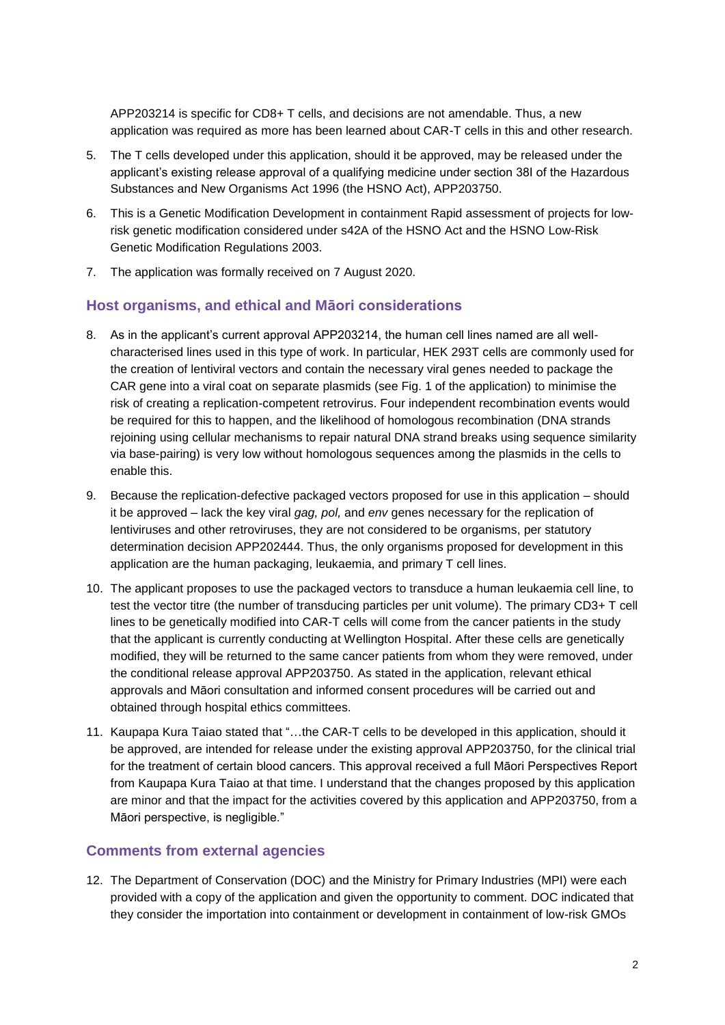APP203214 is specific for CD8+ T cells, and decisions are not amendable. Thus, a new application was required as more has been learned about CAR-T cells in this and other research.

- 5. The T cells developed under this application, should it be approved, may be released under the applicant's existing release approval of a qualifying medicine under section 38I of the Hazardous Substances and New Organisms Act 1996 (the HSNO Act), APP203750.
- 6. This is a Genetic Modification Development in containment Rapid assessment of projects for lowrisk genetic modification considered under s42A of the HSNO Act and the HSNO Low-Risk Genetic Modification Regulations 2003.
- 7. The application was formally received on 7 August 2020.

#### **Host organisms, and ethical and Māori considerations**

- 8. As in the applicant's current approval APP203214, the human cell lines named are all wellcharacterised lines used in this type of work. In particular, HEK 293T cells are commonly used for the creation of lentiviral vectors and contain the necessary viral genes needed to package the CAR gene into a viral coat on separate plasmids (see Fig. 1 of the application) to minimise the risk of creating a replication-competent retrovirus. Four independent recombination events would be required for this to happen, and the likelihood of homologous recombination (DNA strands rejoining using cellular mechanisms to repair natural DNA strand breaks using sequence similarity via base-pairing) is very low without homologous sequences among the plasmids in the cells to enable this.
- 9. Because the replication-defective packaged vectors proposed for use in this application should it be approved – lack the key viral *gag, pol,* and *env* genes necessary for the replication of lentiviruses and other retroviruses, they are not considered to be organisms, per statutory determination decision APP202444. Thus, the only organisms proposed for development in this application are the human packaging, leukaemia, and primary T cell lines.
- 10. The applicant proposes to use the packaged vectors to transduce a human leukaemia cell line, to test the vector titre (the number of transducing particles per unit volume). The primary CD3+ T cell lines to be genetically modified into CAR-T cells will come from the cancer patients in the study that the applicant is currently conducting at Wellington Hospital. After these cells are genetically modified, they will be returned to the same cancer patients from whom they were removed, under the conditional release approval APP203750. As stated in the application, relevant ethical approvals and Māori consultation and informed consent procedures will be carried out and obtained through hospital ethics committees.
- 11. Kaupapa Kura Taiao stated that "…the CAR-T cells to be developed in this application, should it be approved, are intended for release under the existing approval APP203750, for the clinical trial for the treatment of certain blood cancers. This approval received a full Māori Perspectives Report from Kaupapa Kura Taiao at that time. I understand that the changes proposed by this application are minor and that the impact for the activities covered by this application and APP203750, from a Māori perspective, is negligible."

#### **Comments from external agencies**

12. The Department of Conservation (DOC) and the Ministry for Primary Industries (MPI) were each provided with a copy of the application and given the opportunity to comment. DOC indicated that they consider the importation into containment or development in containment of low-risk GMOs